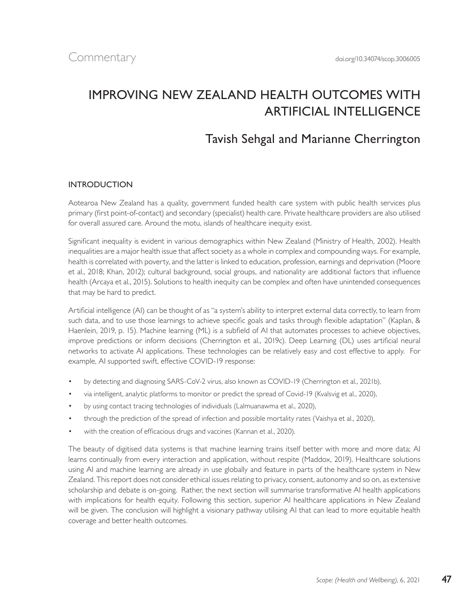# IMPROVING NEW ZEALAND HEALTH OUTCOMES WITH ARTIFICIAL INTELLIGENCE

## Tavish Sehgal and Marianne Cherrington

#### INTRODUCTION

Aotearoa New Zealand has a quality, government funded health care system with public health services plus primary (first point-of-contact) and secondary (specialist) health care. Private healthcare providers are also utilised for overall assured care. Around the motu, islands of healthcare inequity exist.

Significant inequality is evident in various demographics within New Zealand (Ministry of Health, 2002). Health inequalities are a major health issue that affect society as a whole in complex and compounding ways. For example, health is correlated with poverty, and the latter is linked to education, profession, earnings and deprivation (Moore et al., 2018; Khan, 2012); cultural background, social groups, and nationality are additional factors that influence health (Arcaya et al., 2015). Solutions to health inequity can be complex and often have unintended consequences that may be hard to predict.

Artificial intelligence (AI) can be thought of as "a system's ability to interpret external data correctly, to learn from such data, and to use those learnings to achieve specific goals and tasks through flexible adaptation" (Kaplan, & Haenlein, 2019, p. 15). Machine learning (ML) is a subfield of AI that automates processes to achieve objectives, improve predictions or inform decisions (Cherrington et al., 2019c). Deep Learning (DL) uses artificial neural networks to activate AI applications. These technologies can be relatively easy and cost effective to apply. For example, AI supported swift, effective COVID-19 response:

- by detecting and diagnosing SARS-CoV-2 virus, also known as COVID-19 (Cherrington et al., 2021b),
- via intelligent, analytic platforms to monitor or predict the spread of Covid-19 (Kvalsvig et al., 2020),
- by using contact tracing technologies of individuals (Lalmuanawma et al., 2020),
- through the prediction of the spread of infection and possible mortality rates (Vaishya et al., 2020),
- with the creation of efficacious drugs and vaccines (Kannan et al., 2020).

The beauty of digitised data systems is that machine learning trains itself better with more and more data; AI learns continually from every interaction and application, without respite (Maddox, 2019). Healthcare solutions using AI and machine learning are already in use globally and feature in parts of the healthcare system in New Zealand. This report does not consider ethical issues relating to privacy, consent, autonomy and so on, as extensive scholarship and debate is on-going. Rather, the next section will summarise transformative AI health applications with implications for health equity. Following this section, superior AI healthcare applications in New Zealand will be given. The conclusion will highlight a visionary pathway utilising AI that can lead to more equitable health coverage and better health outcomes.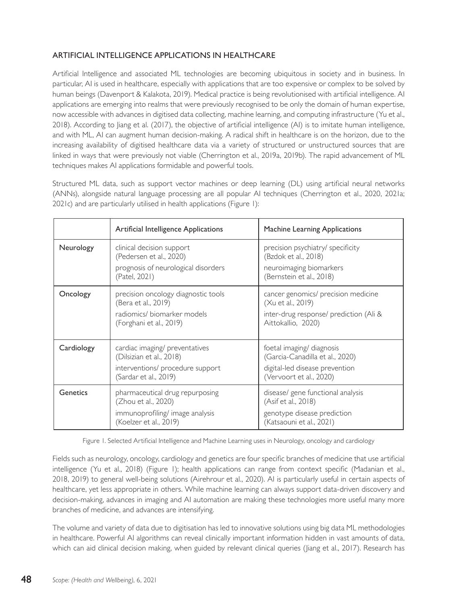#### ARTIFICIAL INTELLIGENCE APPLICATIONS IN HEALTHCARE

Artificial Intelligence and associated ML technologies are becoming ubiquitous in society and in business. In particular, AI is used in healthcare, especially with applications that are too expensive or complex to be solved by human beings (Davenport & Kalakota, 2019). Medical practice is being revolutionised with artificial intelligence. AI applications are emerging into realms that were previously recognised to be only the domain of human expertise, now accessible with advances in digitised data collecting, machine learning, and computing infrastructure (Yu et al., 2018). According to Jiang et al. (2017), the objective of artificial intelligence (AI) is to imitate human intelligence, and with ML, AI can augment human decision-making. A radical shift in healthcare is on the horizon, due to the increasing availability of digitised healthcare data via a variety of structured or unstructured sources that are linked in ways that were previously not viable (Cherrington et al., 2019a, 2019b). The rapid advancement of ML techniques makes AI applications formidable and powerful tools.

Structured ML data, such as support vector machines or deep learning (DL) using artificial neural networks (ANNs), alongside natural language processing are all popular AI techniques (Cherrington et al., 2020, 2021a; 2021c) and are particularly utilised in health applications (Figure 1):

|            | Artificial Intelligence Applications                                                                                    | Machine Learning Applications                                                                                             |
|------------|-------------------------------------------------------------------------------------------------------------------------|---------------------------------------------------------------------------------------------------------------------------|
| Neurology  | clinical decision support<br>(Pedersen et al., 2020)<br>prognosis of neurological disorders<br>(Patel, 2021)            | precision psychiatry/ specificity<br>(Bzdok et al., 2018)<br>neuroimaging biomarkers<br>(Bernstein et al., 2018)          |
| Oncology   | precision oncology diagnostic tools<br>(Bera et al., 2019)<br>radiomics/biomarker models<br>(Forghani et al., 2019)     | cancer genomics/ precision medicine<br>(Xu et al., 2019)<br>inter-drug response/ prediction (Ali &<br>Aittokallio, 2020)  |
| Cardiology | cardiac imaging/ preventatives<br>(Dilsizian et al., 2018)<br>interventions/ procedure support<br>(Sardar et al., 2019) | foetal imaging/ diagnosis<br>(Garcia-Canadilla et al., 2020)<br>digital-led disease prevention<br>(Vervoort et al., 2020) |
| Genetics   | pharmaceutical drug repurposing<br>(Zhou et al., 2020)<br>immunoprofiling/image analysis<br>(Koelzer et al., 2019)      | disease/ gene functional analysis<br>(Asif et al., 2018)<br>genotype disease prediction<br>(Katsaouni et al., 2021)       |

Figure 1. Selected Artificial Intelligence and Machine Learning uses in Neurology, oncology and cardiology

Fields such as neurology, oncology, cardiology and genetics are four specific branches of medicine that use artificial intelligence (Yu et al., 2018) (Figure 1); health applications can range from context specific (Madanian et al., 2018, 2019) to general well-being solutions (Airehrour et al., 2020). AI is particularly useful in certain aspects of healthcare, yet less appropriate in others. While machine learning can always support data-driven discovery and decision-making, advances in imaging and AI automation are making these technologies more useful many more branches of medicine, and advances are intensifying.

The volume and variety of data due to digitisation has led to innovative solutions using big data ML methodologies in healthcare. Powerful AI algorithms can reveal clinically important information hidden in vast amounts of data, which can aid clinical decision making, when guided by relevant clinical queries (Jiang et al., 2017). Research has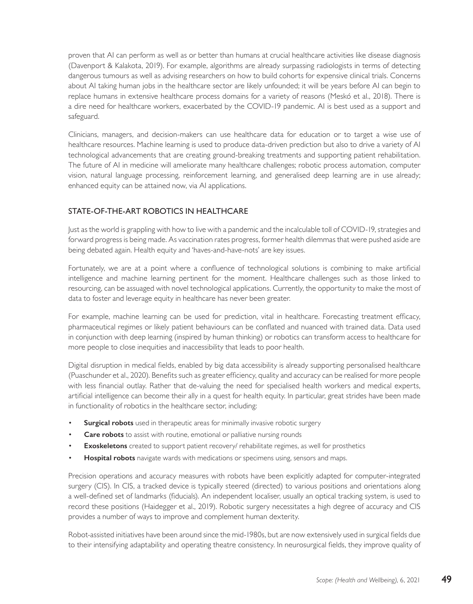proven that AI can perform as well as or better than humans at crucial healthcare activities like disease diagnosis (Davenport & Kalakota, 2019). For example, algorithms are already surpassing radiologists in terms of detecting dangerous tumours as well as advising researchers on how to build cohorts for expensive clinical trials. Concerns about AI taking human jobs in the healthcare sector are likely unfounded; it will be years before AI can begin to replace humans in extensive healthcare process domains for a variety of reasons (Meskó et al., 2018). There is a dire need for healthcare workers, exacerbated by the COVID-19 pandemic. AI is best used as a support and safeguard.

Clinicians, managers, and decision-makers can use healthcare data for education or to target a wise use of healthcare resources. Machine learning is used to produce data-driven prediction but also to drive a variety of AI technological advancements that are creating ground-breaking treatments and supporting patient rehabilitation. The future of AI in medicine will ameliorate many healthcare challenges; robotic process automation, computer vision, natural language processing, reinforcement learning, and generalised deep learning are in use already; enhanced equity can be attained now, via AI applications.

#### STATE-OF-THE-ART ROBOTICS IN HEALTHCARE

Just as the world is grappling with how to live with a pandemic and the incalculable toll of COVID-19, strategies and forward progress is being made. As vaccination rates progress, former health dilemmas that were pushed aside are being debated again. Health equity and 'haves-and-have-nots' are key issues.

Fortunately, we are at a point where a confluence of technological solutions is combining to make artificial intelligence and machine learning pertinent for the moment. Healthcare challenges such as those linked to resourcing, can be assuaged with novel technological applications. Currently, the opportunity to make the most of data to foster and leverage equity in healthcare has never been greater.

For example, machine learning can be used for prediction, vital in healthcare. Forecasting treatment efficacy, pharmaceutical regimes or likely patient behaviours can be conflated and nuanced with trained data. Data used in conjunction with deep learning (inspired by human thinking) or robotics can transform access to healthcare for more people to close inequities and inaccessibility that leads to poor health.

Digital disruption in medical fields, enabled by big data accessibility is already supporting personalised healthcare (Puaschunder et al., 2020). Benefits such as greater efficiency, quality and accuracy can be realised for more people with less financial outlay. Rather that de-valuing the need for specialised health workers and medical experts, artificial intelligence can become their ally in a quest for health equity. In particular, great strides have been made in functionality of robotics in the healthcare sector, including:

- **Surgical robots** used in therapeutic areas for minimally invasive robotic surgery
- **Care robots** to assist with routine, emotional or palliative nursing rounds
- **Exoskeletons** created to support patient recovery/ rehabilitate regimes, as well for prosthetics
- **Hospital robots** navigate wards with medications or specimens using, sensors and maps.

Precision operations and accuracy measures with robots have been explicitly adapted for computer-integrated surgery (CIS). In CIS, a tracked device is typically steered (directed) to various positions and orientations along a well-defined set of landmarks (fiducials). An independent localiser, usually an optical tracking system, is used to record these positions (Haidegger et al., 2019). Robotic surgery necessitates a high degree of accuracy and CIS provides a number of ways to improve and complement human dexterity.

Robot-assisted initiatives have been around since the mid-1980s, but are now extensively used in surgical fields due to their intensifying adaptability and operating theatre consistency. In neurosurgical fields, they improve quality of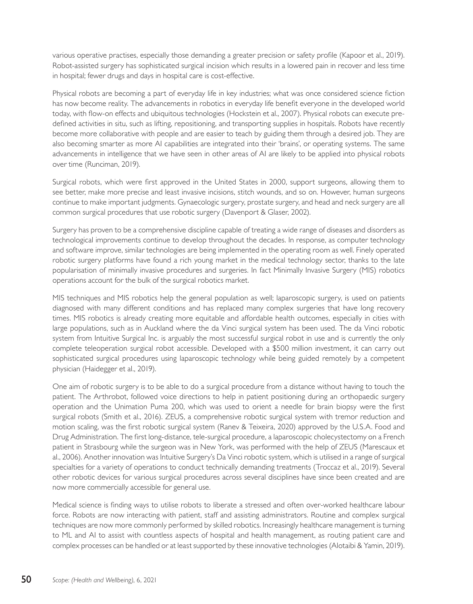various operative practises, especially those demanding a greater precision or safety profile (Kapoor et al., 2019). Robot-assisted surgery has sophisticated surgical incision which results in a lowered pain in recover and less time in hospital; fewer drugs and days in hospital care is cost-effective.

Physical robots are becoming a part of everyday life in key industries; what was once considered science fiction has now become reality. The advancements in robotics in everyday life benefit everyone in the developed world today, with flow-on effects and ubiquitous technologies (Hockstein et al., 2007). Physical robots can execute predefined activities in situ, such as lifting, repositioning, and transporting supplies in hospitals. Robots have recently become more collaborative with people and are easier to teach by guiding them through a desired job. They are also becoming smarter as more AI capabilities are integrated into their 'brains', or operating systems. The same advancements in intelligence that we have seen in other areas of AI are likely to be applied into physical robots over time (Runciman, 2019).

Surgical robots, which were first approved in the United States in 2000, support surgeons, allowing them to see better, make more precise and least invasive incisions, stitch wounds, and so on. However, human surgeons continue to make important judgments. Gynaecologic surgery, prostate surgery, and head and neck surgery are all common surgical procedures that use robotic surgery (Davenport & Glaser, 2002).

Surgery has proven to be a comprehensive discipline capable of treating a wide range of diseases and disorders as technological improvements continue to develop throughout the decades. In response, as computer technology and software improve, similar technologies are being implemented in the operating room as well. Finely operated robotic surgery platforms have found a rich young market in the medical technology sector, thanks to the late popularisation of minimally invasive procedures and surgeries. In fact Minimally Invasive Surgery (MIS) robotics operations account for the bulk of the surgical robotics market.

MIS techniques and MIS robotics help the general population as well; laparoscopic surgery, is used on patients diagnosed with many different conditions and has replaced many complex surgeries that have long recovery times. MIS robotics is already creating more equitable and affordable health outcomes, especially in cities with large populations, such as in Auckland where the da Vinci surgical system has been used. The da Vinci robotic system from Intuitive Surgical Inc. is arguably the most successful surgical robot in use and is currently the only complete teleoperation surgical robot accessible. Developed with a \$500 million investment, it can carry out sophisticated surgical procedures using laparoscopic technology while being guided remotely by a competent physician (Haidegger et al., 2019).

One aim of robotic surgery is to be able to do a surgical procedure from a distance without having to touch the patient. The Arthrobot, followed voice directions to help in patient positioning during an orthopaedic surgery operation and the Unimation Puma 200, which was used to orient a needle for brain biopsy were the first surgical robots (Smith et al., 2016). ZEUS, a comprehensive robotic surgical system with tremor reduction and motion scaling, was the first robotic surgical system (Ranev & Teixeira, 2020) approved by the U.S.A. Food and Drug Administration. The first long-distance, tele-surgical procedure, a laparoscopic cholecystectomy on a French patient in Strasbourg while the surgeon was in New York, was performed with the help of ZEUS (Marescaux et al., 2006). Another innovation was Intuitive Surgery's Da Vinci robotic system, which is utilised in a range of surgical specialties for a variety of operations to conduct technically demanding treatments (Troccaz et al., 2019). Several other robotic devices for various surgical procedures across several disciplines have since been created and are now more commercially accessible for general use.

Medical science is finding ways to utilise robots to liberate a stressed and often over-worked healthcare labour force. Robots are now interacting with patient, staff and assisting administrators. Routine and complex surgical techniques are now more commonly performed by skilled robotics. Increasingly healthcare management is turning to ML and AI to assist with countless aspects of hospital and health management, as routing patient care and complex processes can be handled or at least supported by these innovative technologies (Alotaibi & Yamin, 2019).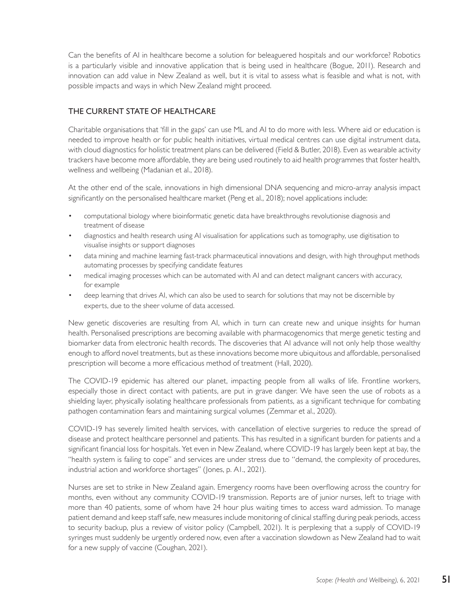Can the benefits of AI in healthcare become a solution for beleaguered hospitals and our workforce? Robotics is a particularly visible and innovative application that is being used in healthcare (Bogue, 2011). Research and innovation can add value in New Zealand as well, but it is vital to assess what is feasible and what is not, with possible impacts and ways in which New Zealand might proceed.

#### THE CURRENT STATE OF HEALTHCARE

Charitable organisations that 'fill in the gaps' can use ML and AI to do more with less. Where aid or education is needed to improve health or for public health initiatives, virtual medical centres can use digital instrument data, with cloud diagnostics for holistic treatment plans can be delivered (Field & Butler, 2018). Even as wearable activity trackers have become more affordable, they are being used routinely to aid health programmes that foster health, wellness and wellbeing (Madanian et al., 2018).

At the other end of the scale, innovations in high dimensional DNA sequencing and micro-array analysis impact significantly on the personalised healthcare market (Peng et al., 2018); novel applications include:

- computational biology where bioinformatic genetic data have breakthroughs revolutionise diagnosis and treatment of disease
- diagnostics and health research using AI visualisation for applications such as tomography, use digitisation to visualise insights or support diagnoses
- data mining and machine learning fast-track pharmaceutical innovations and design, with high throughput methods automating processes by specifying candidate features
- medical imaging processes which can be automated with AI and can detect malignant cancers with accuracy, for example
- deep learning that drives AI, which can also be used to search for solutions that may not be discernible by experts, due to the sheer volume of data accessed.

New genetic discoveries are resulting from AI, which in turn can create new and unique insights for human health. Personalised prescriptions are becoming available with pharmacogenomics that merge genetic testing and biomarker data from electronic health records. The discoveries that AI advance will not only help those wealthy enough to afford novel treatments, but as these innovations become more ubiquitous and affordable, personalised prescription will become a more efficacious method of treatment (Hall, 2020).

The COVID-19 epidemic has altered our planet, impacting people from all walks of life. Frontline workers, especially those in direct contact with patients, are put in grave danger. We have seen the use of robots as a shielding layer, physically isolating healthcare professionals from patients, as a significant technique for combating pathogen contamination fears and maintaining surgical volumes (Zemmar et al., 2020).

COVID-19 has severely limited health services, with cancellation of elective surgeries to reduce the spread of disease and protect healthcare personnel and patients. This has resulted in a significant burden for patients and a significant financial loss for hospitals. Yet even in New Zealand, where COVID-19 has largely been kept at bay, the "health system is failing to cope" and services are under stress due to "demand, the complexity of procedures, industrial action and workforce shortages" (Jones, p. A1., 2021).

Nurses are set to strike in New Zealand again. Emergency rooms have been overflowing across the country for months, even without any community COVID-19 transmission. Reports are of junior nurses, left to triage with more than 40 patients, some of whom have 24 hour plus waiting times to access ward admission. To manage patient demand and keep staff safe, new measures include monitoring of clinical staffing during peak periods, access to security backup, plus a review of visitor policy (Campbell, 2021). It is perplexing that a supply of COVID-19 syringes must suddenly be urgently ordered now, even after a vaccination slowdown as New Zealand had to wait for a new supply of vaccine (Coughan, 2021).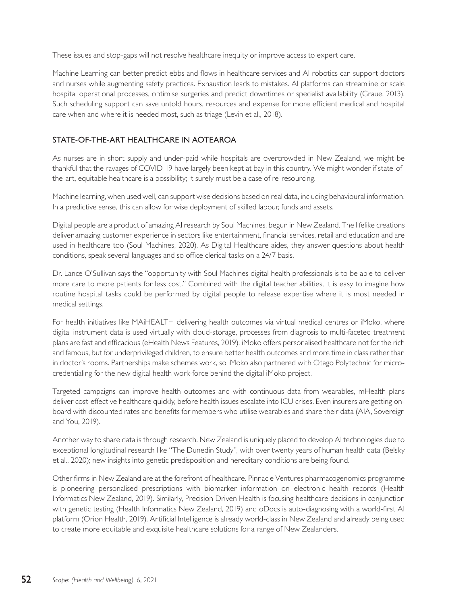These issues and stop-gaps will not resolve healthcare inequity or improve access to expert care.

Machine Learning can better predict ebbs and flows in healthcare services and AI robotics can support doctors and nurses while augmenting safety practices. Exhaustion leads to mistakes. AI platforms can streamline or scale hospital operational processes, optimise surgeries and predict downtimes or specialist availability (Graue, 2013). Such scheduling support can save untold hours, resources and expense for more efficient medical and hospital care when and where it is needed most, such as triage (Levin et al., 2018).

### STATE-OF-THE-ART HEALTHCARE IN AOTEAROA

As nurses are in short supply and under-paid while hospitals are overcrowded in New Zealand, we might be thankful that the ravages of COVID-19 have largely been kept at bay in this country. We might wonder if state-ofthe-art, equitable healthcare is a possibility; it surely must be a case of re-resourcing.

Machine learning, when used well, can support wise decisions based on real data, including behavioural information. In a predictive sense, this can allow for wise deployment of skilled labour, funds and assets.

Digital people are a product of amazing AI research by Soul Machines, begun in New Zealand. The lifelike creations deliver amazing customer experience in sectors like entertainment, financial services, retail and education and are used in healthcare too (Soul Machines, 2020). As Digital Healthcare aides, they answer questions about health conditions, speak several languages and so office clerical tasks on a 24/7 basis.

Dr. Lance O'Sullivan says the "opportunity with Soul Machines digital health professionals is to be able to deliver more care to more patients for less cost." Combined with the digital teacher abilities, it is easy to imagine how routine hospital tasks could be performed by digital people to release expertise where it is most needed in medical settings.

For health initiatives like MAiHEALTH delivering health outcomes via virtual medical centres or iMoko, where digital instrument data is used virtually with cloud-storage, processes from diagnosis to multi-faceted treatment plans are fast and efficacious (eHealth News Features, 2019). iMoko offers personalised healthcare not for the rich and famous, but for underprivileged children, to ensure better health outcomes and more time in class rather than in doctor's rooms. Partnerships make schemes work, so iMoko also partnered with Otago Polytechnic for microcredentialing for the new digital health work-force behind the digital iMoko project.

Targeted campaigns can improve health outcomes and with continuous data from wearables, mHealth plans deliver cost-effective healthcare quickly, before health issues escalate into ICU crises. Even insurers are getting onboard with discounted rates and benefits for members who utilise wearables and share their data (AIA, Sovereign and You, 2019).

Another way to share data is through research. New Zealand is uniquely placed to develop AI technologies due to exceptional longitudinal research like "The Dunedin Study", with over twenty years of human health data (Belsky et al., 2020); new insights into genetic predisposition and hereditary conditions are being found.

Other firms in New Zealand are at the forefront of healthcare. Pinnacle Ventures pharmacogenomics programme is pioneering personalised prescriptions with biomarker information on electronic health records (Health Informatics New Zealand, 2019). Similarly, Precision Driven Health is focusing healthcare decisions in conjunction with genetic testing (Health Informatics New Zealand, 2019) and oDocs is auto-diagnosing with a world-first AI platform (Orion Health, 2019). Artificial Intelligence is already world-class in New Zealand and already being used to create more equitable and exquisite healthcare solutions for a range of New Zealanders.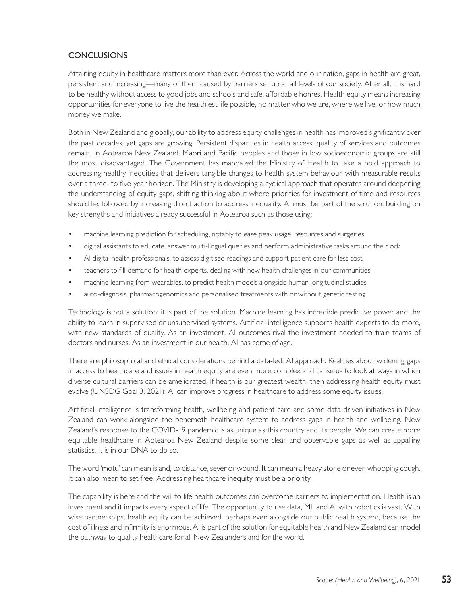### **CONCLUSIONS**

Attaining equity in healthcare matters more than ever. Across the world and our nation, gaps in health are great, persistent and increasing—many of them caused by barriers set up at all levels of our society. After all, it is hard to be healthy without access to good jobs and schools and safe, affordable homes. Health equity means increasing opportunities for everyone to live the healthiest life possible, no matter who we are, where we live, or how much money we make.

Both in New Zealand and globally, our ability to address equity challenges in health has improved significantly over the past decades, yet gaps are growing. Persistent disparities in health access, quality of services and outcomes remain. In Aotearoa New Zealand, Māori and Pacific peoples and those in low socioeconomic groups are still the most disadvantaged. The Government has mandated the Ministry of Health to take a bold approach to addressing healthy inequities that delivers tangible changes to health system behaviour, with measurable results over a three- to five-year horizon. The Ministry is developing a cyclical approach that operates around deepening the understanding of equity gaps, shifting thinking about where priorities for investment of time and resources should lie, followed by increasing direct action to address inequality. AI must be part of the solution, building on key strengths and initiatives already successful in Aotearoa such as those using:

- machine learning prediction for scheduling, notably to ease peak usage, resources and surgeries
- digital assistants to educate, answer multi-lingual queries and perform administrative tasks around the clock
- AI digital health professionals, to assess digitised readings and support patient care for less cost
- teachers to fill demand for health experts, dealing with new health challenges in our communities
- machine learning from wearables, to predict health models alongside human longitudinal studies
- auto-diagnosis, pharmacogenomics and personalised treatments with or without genetic testing.

Technology is not a solution; it is part of the solution. Machine learning has incredible predictive power and the ability to learn in supervised or unsupervised systems. Artificial intelligence supports health experts to do more, with new standards of quality. As an investment, AI outcomes rival the investment needed to train teams of doctors and nurses. As an investment in our health, AI has come of age.

There are philosophical and ethical considerations behind a data-led, AI approach. Realities about widening gaps in access to healthcare and issues in health equity are even more complex and cause us to look at ways in which diverse cultural barriers can be ameliorated. If health is our greatest wealth, then addressing health equity must evolve (UNSDG Goal 3, 2021); AI can improve progress in healthcare to address some equity issues.

Artificial Intelligence is transforming health, wellbeing and patient care and some data-driven initiatives in New Zealand can work alongside the behemoth healthcare system to address gaps in health and wellbeing. New Zealand's response to the COVID-19 pandemic is as unique as this country and its people. We can create more equitable healthcare in Aotearoa New Zealand despite some clear and observable gaps as well as appalling statistics. It is in our DNA to do so.

The word 'motu' can mean island, to distance, sever or wound. It can mean a heavy stone or even whooping cough. It can also mean to set free. Addressing healthcare inequity must be a priority.

The capability is here and the will to life health outcomes can overcome barriers to implementation. Health is an investment and it impacts every aspect of life. The opportunity to use data, ML and AI with robotics is vast. With wise partnerships, health equity can be achieved, perhaps even alongside our public health system, because the cost of illness and infirmity is enormous. AI is part of the solution for equitable health and New Zealand can model the pathway to quality healthcare for all New Zealanders and for the world.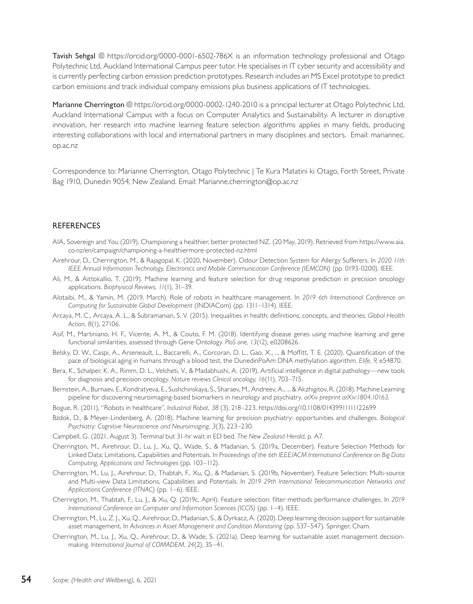Tavish Sehgal <sup>®</sup> https://orcid.org/0000-0001-6502-786X is an information technology professional and Otago Polytechnic Ltd, Auckland International Campus peer tutor. He specialises in IT cyber security and accessibility and is currently perfecting carbon emission prediction prototypes. Research includes an MS Excel prototype to predict carbon emissions and track individual company emissions plus business applications of IT technologies.

Marianne Cherrington <sup>®</sup> https://orcid.org/0000-0002-1240-2010 is a principal lecturer at Otago Polytechnic Ltd, Auckland International Campus with a focus on Computer Analytics and Sustainability. A lecturer in disruptive innovation, her research into machine learning feature selection algorithms applies in many fields, producing interesting collaborations with local and international partners in many disciplines and sectors. Email: [mariannec.](about:blank) [op.ac.nz](about:blank)

Correspondence to: Marianne Cherrington, Otago Polytechnic | Te Kura Matatini ki Otago, Forth Street, Private Bag 1910, Dunedin 9054, New Zealand. Email: Marianne.cherrington@op.ac.nz

#### **REFERENCES**

- AIA, Sovereign and You (2019). Championing a healthier, better protected NZ. (20 May, 2019). Retrieved from https://www.aia. co.nz/en/campaign/championing-a-healthiermore-protected-nz.html
- Airehrour, D., Cherrington, M., & Rajagopal, K. (2020, November). Odour Detection System for Allergy Sufferers. In *2020 11th IEEE Annual Information Technology, Electronics and Mobile Communication Conference (IEMCON)* (pp. 0193-0200). IEEE.
- Ali, M., & Aittokallio, T. (2019). Machine learning and feature selection for drug response prediction in precision oncology applications. *Biophysical Reviews, 11*(1), 31–39.
- Alotaibi, M., & Yamin, M. (2019, March). Role of robots in healthcare management. In *2019 6th International Conference on Computing for Sustainable Global Development* (INDIACom) (pp. 1311–1314). IEEE.
- Arcaya, M. C., Arcaya, A. L., & Subramanian, S. V. (2015). Inequalities in health: definitions, concepts, and theories. *Global Health Action, 8*(1), 27106.
- Asif, M., Martiniano, H. F., Vicente, A. M., & Couto, F. M. (2018). Identifying disease genes using machine learning and gene functional similarities, assessed through Gene Ontology. *PloS one, 13*(12), e0208626.
- Belsky, D. W., Caspi, A., Arseneault, L., Baccarelli, A., Corcoran, D. L., Gao, X., ... & Moffitt, T. E. (2020). Quantification of the pace of biological aging in humans through a blood test, the DunedinPoAm DNA methylation algorithm. *Elife, 9,* e54870.
- Bera, K., Schalper, K. A., Rimm, D. L., Velcheti, V., & Madabhushi, A. (2019). Artificial intelligence in digital pathology—new tools for diagnosis and precision oncology. *Nature reviews Clinical oncology, 16*(11), 703–715.
- Bernstein, A., Burnaev, E., Kondratyeva, E., Sushchinskaya, S., Sharaev, M., Andreev, A., ... & Akzhigitov, R. (2018). Machine Learning pipeline for discovering neuroimaging-based biomarkers in neurology and psychiatry. *arXiv preprint arXiv:1804.10163.*
- Bogue, R. (2011), "Robots in healthcare", *Industrial Robot, 38* (3), 218–223. https://doi.org/10.1108/01439911111122699
- Bzdok, D., & Meyer-Lindenberg, A. (2018). Machine learning for precision psychiatry: opportunities and challenges. *Biological Psychiatry: Cognitive Neuroscience and Neuroimaging, 3*(3), 223–230.
- Campbell, G. (2021, August 3). Terminal but 31-hr wait in ED bed. *The New Zealand Herald,* p. A7.
- Cherrington, M., Airehrour, D., Lu, J., Xu, Q., Wade, S., & Madanian, S. (2019a, December). Feature Selection Methods for Linked Data: Limitations, Capabilities and Potentials. In *Proceedings of the 6th IEEE/ACM International Conference on Big Data Computing, Applications and Technologies* (pp. 103–112).
- Cherrington, M., Lu, J., Airehrour, D., Thabtah, F., Xu, Q., & Madanian, S. (2019b, November). Feature Selection: Multi-source and Multi-view Data Limitations, Capabilities and Potentials. In *2019 29th International Telecommunication Networks and Applications Conference (ITNAC)* (pp. 1–6). IEEE.
- Cherrington, M., Thabtah, F., Lu, J., & Xu, Q. (2019c, April). Feature selection: filter methods performance challenges. In *2019 International Conference on Computer and Information Sciences (ICCIS)* (pp. 1–4). IEEE.
- Cherrington, M., Lu, Z. J., Xu, Q., Airehrour, D., Madanian, S., & Dyrkacz, A. (2020). Deep learning decision support for sustainable asset management*.* In *Advances in Asset Management and Condition Monitoring* (pp. 537–547). Springer, Cham.
- Cherrington, M., Lu, J., Xu, Q., Airehrour, D., & Wade, S. (2021a). Deep learning for sustainable asset management decisionmaking. *International Journal of COMADEM, 24*(2), 35–41.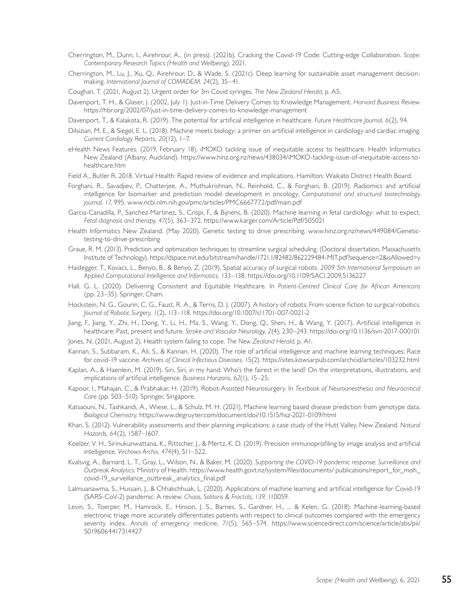- Cherrington, M., Dunn, I., Airehrour, A., (in press). (2021b). Cracking the Covid-19 Code: Cutting-edge Collaboration. *Scope: Contemporary Research Topics (Health and Wellbeing)*, 2021.
- Cherrington, M., Lu, J., Xu, Q., Airehrour, D., & Wade, S. (2021c). Deep learning for sustainable asset management decisionmaking. *International Journal of COMADEM, 24*(2), 35–41.
- Coughan, T. (2021, August 2). Urgent order for 3m Covid syringes. *The New Zealand Herald*, p. A5.
- Davenport, T. H., & Glaser, J. (2002, July 1). Just-in-Time Delivery Comes to Knowledge Management. *Harvard Business Review*. https://hbr.org/2002/07/just-in-time-delivery-comes-to-knowledge-management
- Davenport, T., & Kalakota, R. (2019). The potential for artificial intelligence in healthcare. *Future Healthcare Journal, 6*(2), 94.
- Dilsizian, M. E., & Siegel, E. L. (2018). Machine meets biology: a primer on artificial intelligence in cardiology and cardiac imaging. *Current Cardiology Reports, 20*(12), 1–7.
- eHealth News Features. (2019, February 18). iMOKO tackling issue of inequitable access to healthcare. Health Informatics New Zealand (Albany, Auckland). https://www.hinz.org.nz/news/438034/iMOKO-tackling-issue-of-inequitable-access-tohealthcare.htm
- Field A., Butler R. 2018. Virtual Health: Rapid review of evidence and implications. Hamilton: Waikato District Health Board.
- Forghani, R., Savadjiev, P., Chatterjee, A., Muthukrishnan, N., Reinhold, C., & Forghani, B. (2019). Radiomics and artificial intelligence for biomarker and prediction model development in oncology. *Computational and structural biotechnology journal, 17*, 995. www.ncbi.nlm.nih.gov/pmc/articles/PMC6667772/pdf/main.pdf
- Garcia-Canadilla, P., Sanchez-Martinez, S., Crispi, F., & Bijnens, B. (2020). Machine learning in fetal cardiology: what to expect. *Fetal diagnosis and therapy, 47*(5), 363–372. https://www.karger.com/Article/Pdf/505021
- Health Informatics New Zealand. (May 2020). Genetic testing to drive prescribing. www.hinz.org.nz/news/449084/Genetictesting-to-drive-prescribing
- Graue, R. M. (2013). Prediction and optimization techniques to streamline surgical scheduling. (Doctoral dissertation, Massachusetts Institute of Technology). https://dspace.mit.edu/bitstream/handle/1721.1/82482/862229484-MIT.pdf?sequence=2&isAllowed=y
- Haidegger, T., Kovacs, L., Benyo, B., & Benyo, Z. (2019). Spatial accuracy of surgical robots. *2009 5th International Symposium on Applied Computational Intelligence and Informatics,* 133–138. https://doi.org/10.1109/SACI.2009.5136227
- Hall, G. L. (2020). Delivering Consistent and Equitable Healthcare. In *Patient-Centred Clinical Care for African Americans* (pp. 23–35). Springer, Cham.
- Hockstein, N. G., Gourin, C. G., Faust, R. A., & Terris, D. J. (2007). A history of robots: From science fiction to surgical robotics. *Journal of Robotic Surgery, 1*(2), 113–118. https://doi.org/10.1007/s11701-007-0021-2
- Jiang, F., Jiang, Y., Zhi, H., Dong, Y., Li, H., Ma, S., Wang, Y., Dong, Q., Shen, H., & Wang, Y. (2017). Artificial intelligence in healthcare: Past, present and future. *Stroke and Vascular Neurology, 2*(4), 230–243.<https://doi.org/10.1136/svn-2017-000101>
- Jones, N. (2021, August 2). Health system failing to cope. *The New Zealand Herald*, p. A1.
- Kannan, S., Subbaram, K., Ali, S., & Kannan, H. (2020). The role of artificial intelligence and machine learning techniques: Race for covid-19 vaccine. *Archives of Clinical Infectious Diseases,* 15(2). https://sites.kowsarpub.com/archcid/articles/103232.html
- Kaplan, A., & Haenlein, M. (2019). Siri, Siri, in my hand: Who's the fairest in the land? On the interpretations, illustrations, and implications of artificial intelligence. *Business Horizons, 62*(1), 15–25.
- Kapoor, I., Mahajan, C., & Prabhakar, H. (2019). Robot-Assisted Neurosurgery. In *Textbook of Neuroanesthesia and Neurocritical Care* (pp. 503–510). Springer, Singapore.
- Katsaouni, N., Tashkandi, A., Wiese, L., & Schulz, M. H. (2021). Machine learning based disease prediction from genotype data. *Biological Chemistry*. https://www.degruyter.com/document/doi/10.1515/hsz-2021-0109/html
- Khan, S. (2012). Vulnerability assessments and their planning implications: a case study of the Hutt Valley, New Zealand. *Natural Hazards, 64*(2), 1587–1607.
- Koelzer, V. H., Sirinukunwattana, K., Rittscher, J., & Mertz, K. D. (2019). Precision immunoprofiling by image analysis and artificial intelligence. *Virchows Archiv, 474*(4), 511–522.
- Kvalsvig, A., Barnard, L. T., Gray, L., Wilson, N., & Baker, M. (2020). *Supporting the COVID-19 pandemic response: Surveillance and Outbreak Analytics.* Ministry of Health. https://www.health.govt.nz/system/files/documents/ publications/report\_for\_moh\_ covid-19\_surveillance\_outbreak\_analytics\_final.pdf
- Lalmuanawma, S., Hussain, J., & Chhakchhuak, L. (2020). Applications of machine learning and artificial intelligence for Covid-19 (SARS-CoV-2) pandemic: A review. *Chaos, Solitons & Fractals, 139,* 110059.
- Levin, S., Toerper, M., Hamrock, E., Hinson, J. S., Barnes, S., Gardner, H., ... & Kelen, G. (2018). Machine-learning-based electronic triage more accurately differentiates patients with respect to clinical outcomes compared with the emergency severity index. *Annals of emergency medicine, 71*(5), 565–574. https://www.sciencedirect.com/science/article/abs/pii/ S0196064417314427